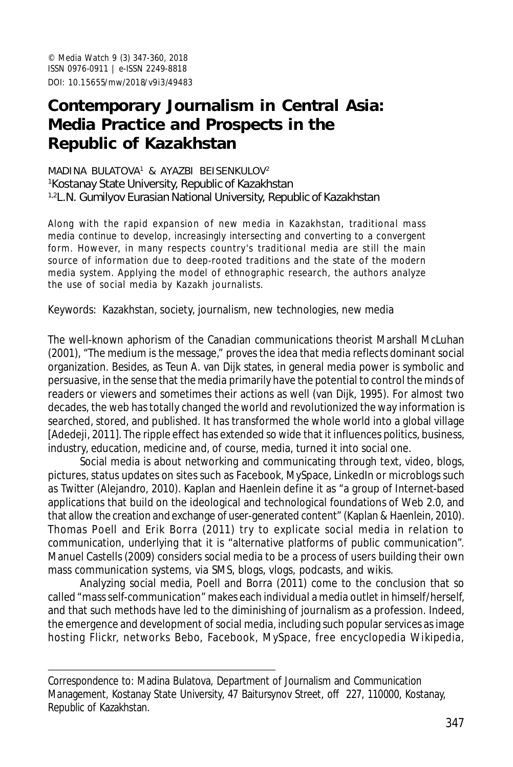© *Media Watch* 9 (3) 347-360, 2018 ISSN 0976-0911 | e-ISSN 2249-8818 DOI: 10.15655/mw/2018/v9i3/49483

# **Contemporary Journalism in Central Asia: Media Practice and Prospects in the Republic of Kazakhstan**

#### MADINA BULATOVA 1 & AYAZBI BEISENKULOV<sup>2</sup> <sup>1</sup>Kostanay State University, Republic of Kazakhstan <sup>1,2</sup>L.N. Gumilyov Eurasian National University, Republic of Kazakhstan

Along with the rapid expansion of new media in Kazakhstan, traditional mass media continue to develop, increasingly intersecting and converting to a convergent form. However, in many respects country's traditional media are still the main source of information due to deep-rooted traditions and the state of the modern media system. Applying the model of ethnographic research, the authors analyze the use of social media by Kazakh journalists.

Keywords: Kazakhstan, society, journalism, new technologies, new media

The well-known aphorism of the Canadian communications theorist Marshall McLuhan (2001), "The medium is the message," proves the idea that media reflects dominant social organization. Besides, as Teun A. van Dijk states, in general media power is symbolic and persuasive, in the sense that the media primarily have the potential to control the minds of readers or viewers and sometimes their actions as well (van Dijk, 1995). For almost two decades, the web has totally changed the world and revolutionized the way information is searched, stored, and published. It has transformed the whole world into a global village [Adedeji, 2011]. The ripple effect has extended so wide that it influences politics, business, industry, education, medicine and, of course, media, turned it into social one.

Social media is about networking and communicating through text, video, blogs, pictures, status updates on sites such as Facebook, MySpace, LinkedIn or microblogs such as Twitter (Alejandro, 2010). Kaplan and Haenlein define it as "a group of Internet-based applications that build on the ideological and technological foundations of Web 2.0, and that allow the creation and exchange of user-generated content" (Kaplan & Haenlein, 2010). Thomas Poell and Erik Borra (2011) try to explicate social media in relation to communication, underlying that it is "alternative platforms of public communication". Manuel Castells (2009) considers social media to be a process of users building their own mass communication systems, via SMS, blogs, vlogs, podcasts, and wikis.

Analyzing social media, Poell and Borra (2011) come to the conclusion that so called "mass self-communication" makes each individual a media outlet in himself/herself, and that such methods have led to the diminishing of journalism as a profession. Indeed, the emergence and development of social media, including such popular services as image hosting Flickr, networks Bebo, Facebook, MySpace, free encyclopedia Wikipedia,

Correspondence to: Madina Bulatova, Department of Journalism and Communication Management, Kostanay State University, 47 Baitursynov Street, off 227, 110000, Kostanay, Republic of Kazakhstan.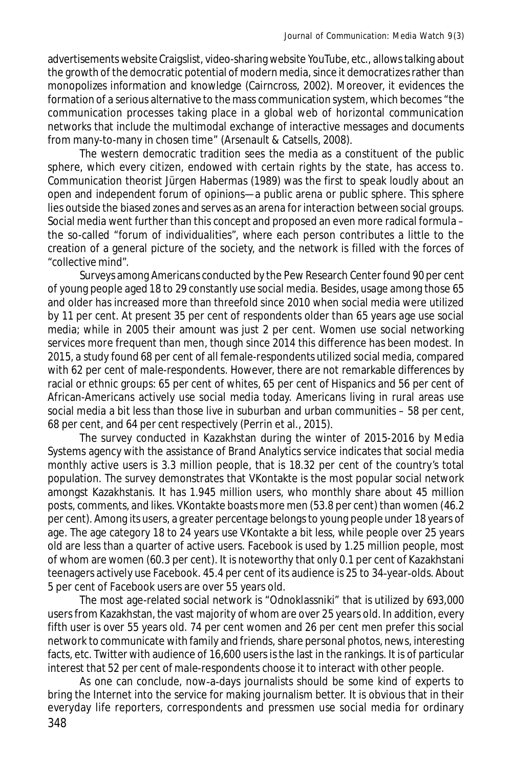advertisements website Craigslist, video-sharing website YouTube, etc., allows talking about the growth of the democratic potential of modern media, since it democratizes rather than monopolizes information and knowledge (Cairncross, 2002). Moreover, it evidences the formation of a serious alternative to the mass communication system, which becomes "the communication processes taking place in a global web of horizontal communication networks that include the multimodal exchange of interactive messages and documents from many-to-many in chosen time" (Arsenault & Catsells, 2008).

The western democratic tradition sees the media as a constituent of the public sphere, which every citizen, endowed with certain rights by the state, has access to. Communication theorist Jürgen Habermas (1989) was the first to speak loudly about an open and independent forum of opinions—a public arena or public sphere. This sphere lies outside the biased zones and serves as an arena for interaction between social groups. Social media went further than this concept and proposed an even more radical formula – the so-called "forum of individualities", where each person contributes a little to the creation of a general picture of the society, and the network is filled with the forces of "collective mind".

Surveys among Americans conducted by the Pew Research Center found 90 per cent of young people aged 18 to 29 constantly use social media. Besides, usage among those 65 and older has increased more than threefold since 2010 when social media were utilized by 11 per cent. At present 35 per cent of respondents older than 65 years age use social media; while in 2005 their amount was just 2 per cent. Women use social networking services more frequent than men, though since 2014 this difference has been modest. In 2015, a study found 68 per cent of all female-respondents utilized social media, compared with 62 per cent of male-respondents. However, there are not remarkable differences by racial or ethnic groups: 65 per cent of whites, 65 per cent of Hispanics and 56 per cent of African-Americans actively use social media today. Americans living in rural areas use social media a bit less than those live in suburban and urban communities – 58 per cent, 68 per cent, and 64 per cent respectively (Perrin et al., 2015).

The survey conducted in Kazakhstan during the winter of 2015-2016 by Media Systems agency with the assistance of Brand Analytics service indicates that social media monthly active users is 3.3 million people, that is 18.32 per cent of the country's total population. The survey demonstrates that VKontakte is the most popular social network amongst Kazakhstanis. It has 1.945 million users, who monthly share about 45 million posts, comments, and likes. VKontakte boasts more men (53.8 per cent) than women (46.2 per cent). Among its users, a greater percentage belongs to young people under 18 years of age. The age category 18 to 24 years use VKontakte a bit less, while people over 25 years old are less than a quarter of active users. Facebook is used by 1.25 million people, most of whom are women (60.3 per cent). It is noteworthy that only 0.1 per cent of Kazakhstani teenagers actively use Facebook. 45.4 per cent of its audience is 25 to 34-year-olds. About 5 per cent of Facebook users are over 55 years old.

The most age-related social network is "Odnoklassniki" that is utilized by 693,000 users from Kazakhstan, the vast majority of whom are over 25 years old. In addition, every fifth user is over 55 years old. 74 per cent women and 26 per cent men prefer this social network to communicate with family and friends, share personal photos, news, interesting facts, etc. Twitter with audience of 16,600 users is the last in the rankings. It is of particular interest that 52 per cent of male-respondents choose it to interact with other people.

As one can conclude, now-a-days journalists should be some kind of experts to bring the Internet into the service for making journalism better. It is obvious that in their everyday life reporters, correspondents and pressmen use social media for ordinary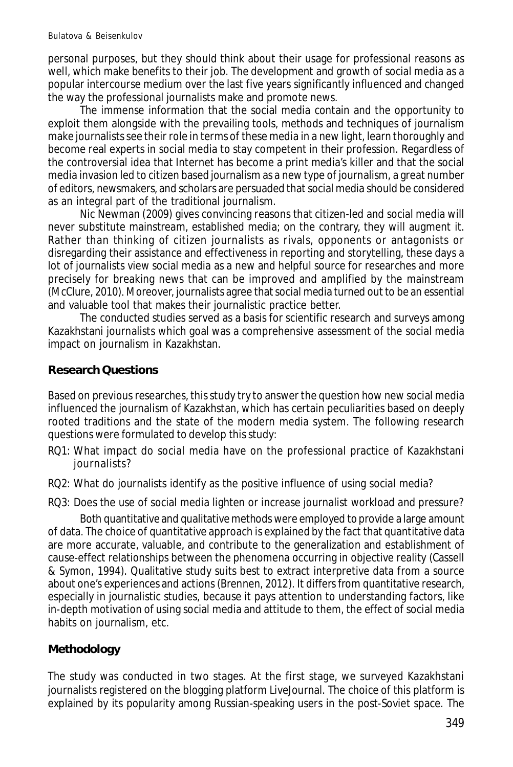personal purposes, but they should think about their usage for professional reasons as well, which make benefits to their job. The development and growth of social media as a popular intercourse medium over the last five years significantly influenced and changed the way the professional journalists make and promote news.

The immense information that the social media contain and the opportunity to exploit them alongside with the prevailing tools, methods and techniques of journalism make journalists see their role in terms of these media in a new light, learn thoroughly and become real experts in social media to stay competent in their profession. Regardless of the controversial idea that Internet has become a print media's killer and that the social media invasion led to citizen based journalism as a new type of journalism, a great number of editors, newsmakers, and scholars are persuaded that social media should be considered as an integral part of the traditional journalism.

Nic Newman (2009) gives convincing reasons that citizen-led and social media will never substitute mainstream, established media; on the contrary, they will augment it. Rather than thinking of citizen journalists as rivals, opponents or antagonists or disregarding their assistance and effectiveness in reporting and storytelling, these days a lot of journalists view social media as a new and helpful source for researches and more precisely for breaking news that can be improved and amplified by the mainstream (McClure, 2010). Moreover, journalists agree that social media turned out to be an essential and valuable tool that makes their journalistic practice better.

The conducted studies served as a basis for scientific research and surveys among Kazakhstani journalists which goal was a comprehensive assessment of the social media impact on journalism in Kazakhstan.

### **Research Questions**

Based on previous researches, this study try to answer the question how new social media influenced the journalism of Kazakhstan, which has certain peculiarities based on deeply rooted traditions and the state of the modern media system. The following research questions were formulated to develop this study:

- RQ1: What impact do social media have on the professional practice of Kazakhstani journalists?
- RQ2: What do journalists identify as the positive influence of using social media?
- RQ3: Does the use of social media lighten or increase journalist workload and pressure?

Both quantitative and qualitative methods were employed to provide a large amount of data. The choice of quantitative approach is explained by the fact that quantitative data are more accurate, valuable, and contribute to the generalization and establishment of cause-effect relationships between the phenomena occurring in objective reality (Cassell & Symon, 1994). Qualitative study suits best to extract interpretive data from a source about one's experiences and actions (Brennen, 2012). It differs from quantitative research, especially in journalistic studies, because it pays attention to understanding factors, like in-depth motivation of using social media and attitude to them, the effect of social media habits on journalism, etc.

## **Methodology**

The study was conducted in two stages. At the first stage, we surveyed Kazakhstani journalists registered on the blogging platform LiveJournal. The choice of this platform is explained by its popularity among Russian-speaking users in the post-Soviet space. The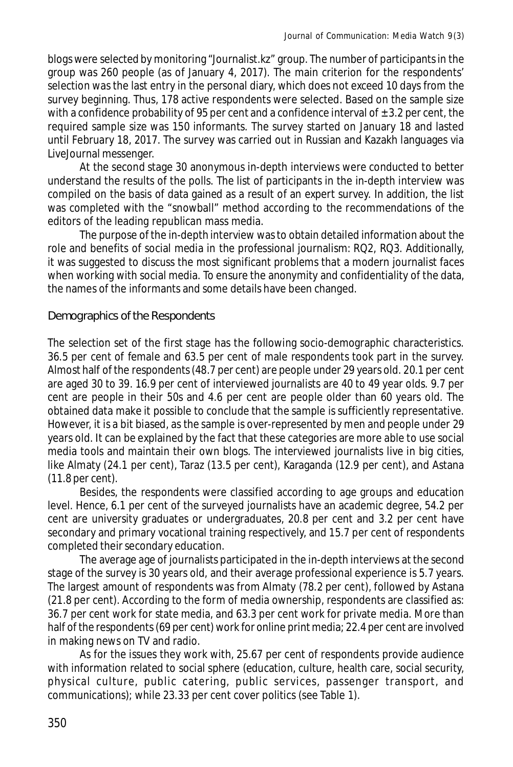blogs were selected by monitoring "Journalist.kz" group. The number of participants in the group was 260 people (as of January 4, 2017). The main criterion for the respondents' selection was the last entry in the personal diary, which does not exceed 10 days from the survey beginning. Thus, 178 active respondents were selected. Based on the sample size with a confidence probability of 95 per cent and a confidence interval of  $\pm$  3.2 per cent, the required sample size was 150 informants. The survey started on January 18 and lasted until February 18, 2017. The survey was carried out in Russian and Kazakh languages via LiveJournal messenger.

At the second stage 30 anonymous in-depth interviews were conducted to better understand the results of the polls. The list of participants in the in-depth interview was compiled on the basis of data gained as a result of an expert survey. In addition, the list was completed with the "snowball" method according to the recommendations of the editors of the leading republican mass media.

The purpose of the in-depth interview was to obtain detailed information about the role and benefits of social media in the professional journalism: RQ2, RQ3. Additionally, it was suggested to discuss the most significant problems that a modern journalist faces when working with social media. To ensure the anonymity and confidentiality of the data, the names of the informants and some details have been changed.

## Demographics of the Respondents

The selection set of the first stage has the following socio-demographic characteristics. 36.5 per cent of female and 63.5 per cent of male respondents took part in the survey. Almost half of the respondents (48.7 per cent) are people under 29 years old. 20.1 per cent are aged 30 to 39. 16.9 per cent of interviewed journalists are 40 to 49 year olds. 9.7 per cent are people in their 50s and 4.6 per cent are people older than 60 years old. The obtained data make it possible to conclude that the sample is sufficiently representative. However, it is a bit biased, as the sample is over-represented by men and people under 29 years old. It can be explained by the fact that these categories are more able to use social media tools and maintain their own blogs. The interviewed journalists live in big cities, like Almaty (24.1 per cent), Taraz (13.5 per cent), Karaganda (12.9 per cent), and Astana (11.8 per cent).

Besides, the respondents were classified according to age groups and education level. Hence, 6.1 per cent of the surveyed journalists have an academic degree, 54.2 per cent are university graduates or undergraduates, 20.8 per cent and 3.2 per cent have secondary and primary vocational training respectively, and 15.7 per cent of respondents completed their secondary education.

The average age of journalists participated in the in-depth interviews at the second stage of the survey is 30 years old, and their average professional experience is 5.7 years. The largest amount of respondents was from Almaty (78.2 per cent), followed by Astana (21.8 per cent). According to the form of media ownership, respondents are classified as: 36.7 per cent work for state media, and 63.3 per cent work for private media. More than half of the respondents (69 per cent) work for online print media; 22.4 per cent are involved in making news on TV and radio.

As for the issues they work with, 25.67 per cent of respondents provide audience with information related to social sphere (education, culture, health care, social security, physical culture, public catering, public services, passenger transport, and communications); while 23.33 per cent cover politics (see Table 1).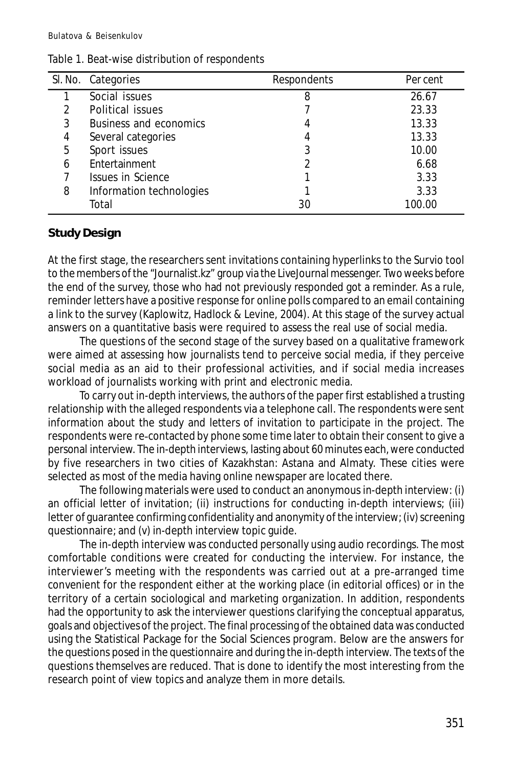|   | SI. No. Categories       | Respondents | Per cent |
|---|--------------------------|-------------|----------|
|   | Social issues            | 8           | 26.67    |
|   | Political issues         |             | 23.33    |
| 3 | Business and economics   |             | 13.33    |
| 4 | Several categories       | 4           | 13.33    |
| 5 | Sport issues             | 3           | 10.00    |
| 6 | Entertainment            |             | 6.68     |
|   | <b>Issues in Science</b> |             | 3.33     |
| 8 | Information technologies |             | 3.33     |
|   | Total                    | 30          | 100.00   |

#### Table 1. Beat-wise distribution of respondents

### **Study Design**

At the first stage, the researchers sent invitations containing hyperlinks to the Survio tool to the members of the "Journalist.kz" group via the LiveJournal messenger. Two weeks before the end of the survey, those who had not previously responded got a reminder. As a rule, reminder letters have a positive response for online polls compared to an email containing a link to the survey (Kaplowitz, Hadlock & Levine, 2004). At this stage of the survey actual answers on a quantitative basis were required to assess the real use of social media.

The questions of the second stage of the survey based on a qualitative framework were aimed at assessing how journalists tend to perceive social media, if they perceive social media as an aid to their professional activities, and if social media increases workload of journalists working with print and electronic media.

To carry out in-depth interviews, the authors of the paper first established a trusting relationship with the alleged respondents via a telephone call. The respondents were sent information about the study and letters of invitation to participate in the project. The respondents were re-contacted by phone some time later to obtain their consent to give a personal interview. The in-depth interviews, lasting about 60 minutes each, were conducted by five researchers in two cities of Kazakhstan: Astana and Almaty. These cities were selected as most of the media having online newspaper are located there.

The following materials were used to conduct an anonymous in-depth interview: (i) an official letter of invitation; (ii) instructions for conducting in-depth interviews; (iii) letter of guarantee confirming confidentiality and anonymity of the interview; (iv) screening questionnaire; and (v) in-depth interview topic guide.

The in-depth interview was conducted personally using audio recordings. The most comfortable conditions were created for conducting the interview. For instance, the interviewer's meeting with the respondents was carried out at a pre-arranged time convenient for the respondent either at the working place (in editorial offices) or in the territory of a certain sociological and marketing organization. In addition, respondents had the opportunity to ask the interviewer questions clarifying the conceptual apparatus, goals and objectives of the project. The final processing of the obtained data was conducted using the Statistical Package for the Social Sciences program. Below are the answers for the questions posed in the questionnaire and during the in-depth interview. The texts of the questions themselves are reduced. That is done to identify the most interesting from the research point of view topics and analyze them in more details.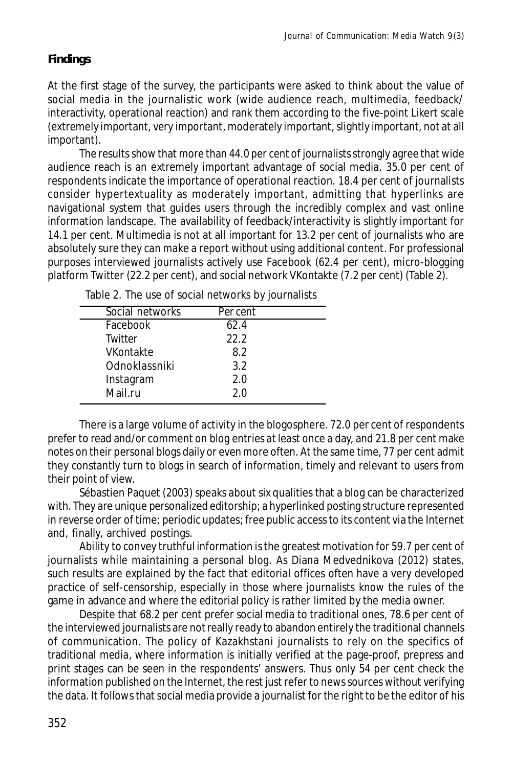# **Findings**

At the first stage of the survey, the participants were asked to think about the value of social media in the journalistic work (wide audience reach, multimedia, feedback/ interactivity, operational reaction) and rank them according to the five-point Likert scale (extremely important, very important, moderately important, slightly important, not at all important).

The results show that more than 44.0 per cent of journalists strongly agree that wide audience reach is an extremely important advantage of social media. 35.0 per cent of respondents indicate the importance of operational reaction. 18.4 per cent of journalists consider hypertextuality as moderately important, admitting that hyperlinks are navigational system that guides users through the incredibly complex and vast online information landscape. The availability of feedback/interactivity is slightly important for 14.1 per cent. Multimedia is not at all important for 13.2 per cent of journalists who are absolutely sure they can make a report without using additional content. For professional purposes interviewed journalists actively use Facebook (62.4 per cent), micro-blogging platform Twitter (22.2 per cent), and social network VKontakte (7.2 per cent) (Table 2).

| Social networks | Per cent |  |
|-----------------|----------|--|
| Facebook        | 62.4     |  |
| Twitter         | 22.2     |  |
| VKontakte       | 8.2      |  |
| Odnoklassniki   | 3.2      |  |
| Instagram       | 2.0      |  |
| Mail.ru         | 2.0      |  |
|                 |          |  |

Table 2. The use of social networks by journalists

There is a large volume of *activity* in the blogosphere. 72.0 per cent of respondents prefer to read and/or comment on blog entries at least once a day, and 21.8 per cent make notes on their personal blogs daily or even more often. At the same time, 77 per cent admit they constantly turn to blogs in search of information, *timely* and relevant *to users* from their point of view.

Sébastien Paquet (2003) speaks about six qualities that a blog can be characterized with. They are unique personalized editorship; a hyperlinked posting structure represented in reverse order of time; periodic updates; free public access to its content via the Internet and, finally, archived postings.

Ability to convey truthful information is the greatest motivation for 59.7 per cent of journalists while maintaining a personal blog. As Diana Medvednikova (2012) states, such results are explained by the fact that editorial offices often have a very developed practice of self-censorship, especially in those where journalists know the rules of the game in advance and where the editorial policy is rather limited by the media owner.

Despite that 68.2 per cent prefer social media to traditional ones, 78.6 per cent of the interviewed journalists are not really ready to abandon entirely the traditional channels of communication. The policy of Kazakhstani journalists to rely on the specifics of traditional media, where information is initially verified at the page-proof, prepress and print stages can be seen in the respondents' answers. Thus only 54 per cent check the information published on the Internet, the rest just refer to news sources without verifying the data. It follows that social media provide a journalist for the right to be the editor of his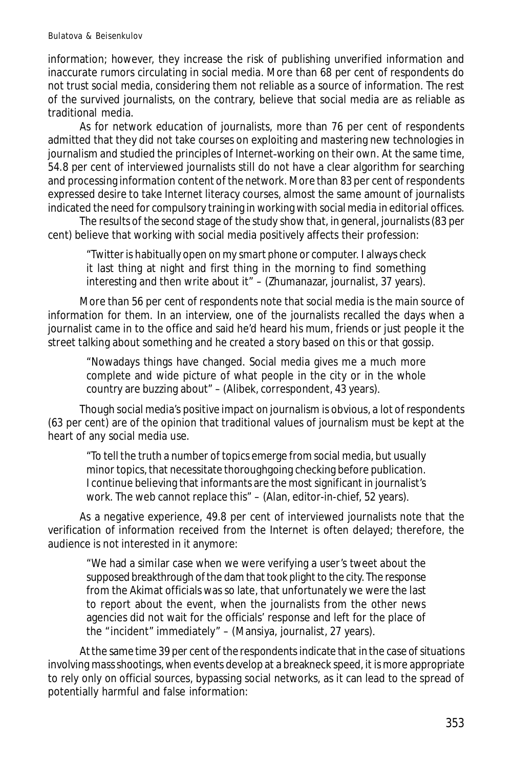information; however, they increase the risk of publishing unverified information and inaccurate rumors circulating in social media. More than 68 per cent of respondents do not trust social media, considering them not reliable as a source of information. The rest of the survived journalists, on the contrary, believe that social media are as reliable as traditional media.

As for network education of journalists, more than 76 per cent of respondents admitted that they did not take courses on exploiting and mastering new technologies in journalism and studied the principles of *Internet*-*working on their own.* At the same time, 54.8 per cent of interviewed journalists still do not have a clear algorithm for searching and processing information content of *the network.* More than 83 per cent of respondents expressed desire to take *Internet literacy* courses, almost the same amount of journalists indicated the need for compulsory training in working with social media in editorial offices.

The results of the second stage of the study show that, in general, journalists (83 per cent) believe that working with social media positively affects their profession:

"Twitter is habitually open on my smart phone or computer. I always check it last thing at night and first thing in the morning to find something interesting and then write about it" – (Zhumanazar, journalist, 37 years).

More than 56 per cent of respondents note that social media is the main source of information for them. In an interview, one of the journalists recalled the days when a journalist came in to the office and said he'd heard his mum, friends or just people it the street talking about something and he created a story based on this or that gossip.

"Nowadays things have changed. Social media gives me a much more complete and wide picture of what people in the city or in the whole country are buzzing about" – (Alibek, correspondent, 43 years).

Though social media's positive impact on journalism is obvious, a lot of respondents (63 per cent) are of the opinion that traditional values of journalism must be kept at the heart of any social media use.

"To tell the truth a number of topics emerge from social media, but usually minor topics, that necessitate thoroughgoing checking before publication. I continue believing that informants are the most significant in journalist's work. The web cannot replace this" – (Alan, editor-in-chief, 52 years).

As a negative experience, 49.8 per cent of interviewed journalists note that the verification of information received from the Internet is often delayed; therefore, the audience is not interested in it anymore:

"We had a similar case when we were verifying a user's tweet about the supposed breakthrough of the dam that took plight to the city. The response from the Akimat officials was so late, that unfortunately we were the last to report about the event, when the journalists from the other news agencies did not wait for the officials' response and left for the place of the "incident" immediately" – (Mansiya, journalist, 27 years).

At the same time 39 per cent of the respondents indicate that in the case of situations involving mass shootings, when events develop at a breakneck speed, it is more appropriate to rely only on official sources, bypassing social networks, as it can lead to the spread of potentially harmful and false information: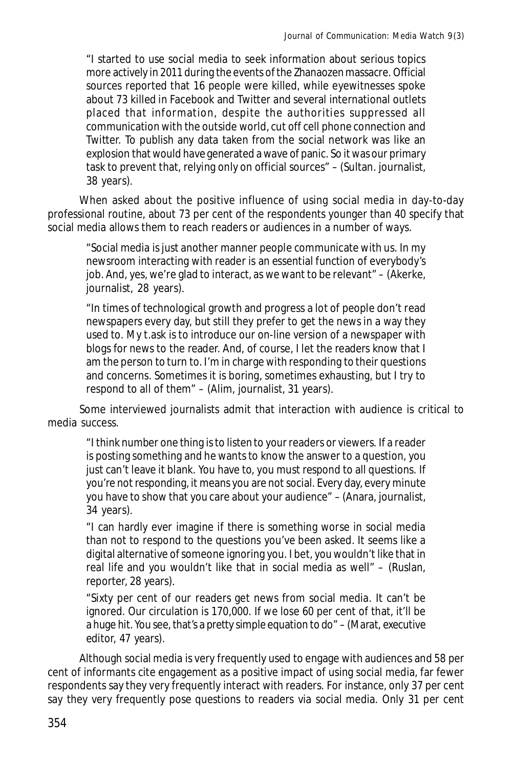"I started to use social media to seek information about serious topics more actively in 2011 during the events of the Zhanaozen massacre. Official sources reported that 16 people were killed, while eyewitnesses spoke about 73 killed in Facebook and Twitter and several international outlets placed that information, despite the authorities suppressed all communication with the outside world, cut off cell phone connection and Twitter. To publish any data taken from the social network was like an explosion that would have generated a wave of panic. So it was our primary task to prevent that, relying only on official sources" – (Sultan. journalist, 38 years).

When asked about the positive influence of using social media in day-to-day professional routine, about 73 per cent of the respondents younger than 40 specify that social media allows them to reach readers or audiences in a number of ways.

"Social media is just another manner people communicate with us. In my newsroom interacting with reader is an essential function of everybody's job. And, yes, we're glad to interact, as we want to be relevant" – (Akerke, journalist, 28 years).

"In times of technological growth and progress a lot of people don't read newspapers every day, but still they prefer to get the news in a way they used to. My t.ask is to introduce our on-line version of a newspaper with blogs for news to the reader. And, of course, I let the readers know that I am the person to turn to. I'm in charge with responding to their questions and concerns. Sometimes it is boring, sometimes exhausting, but I try to respond to all of them" – (Alim, journalist, 31 years).

Some interviewed journalists admit that interaction with audience is critical to media success.

"I think number one thing is to listen to your readers or viewers. If a reader is posting something and he wants to know the answer to a question, you just can't leave it blank. You have to, you must respond to all questions. If you're not responding, it means you are not social. Every day, every minute you have to show that you care about your audience" – (Anara, journalist, 34 years).

"I can hardly ever imagine if there is something worse in social media than not to respond to the questions you've been asked. It seems like a digital alternative of someone ignoring you. I bet, you wouldn't like that in real life and you wouldn't like that in social media as well" – (Ruslan, reporter, 28 years).

"Sixty per cent of our readers get news from social media. It can't be ignored. Our circulation is 170,000. If we lose 60 per cent of that, it'll be a huge hit. You see, that's a pretty simple equation to do" – (Marat, executive editor, 47 years).

Although social media is very frequently used to engage with audiences and 58 per cent of informants cite engagement as a positive impact of using social media, far fewer respondents say they very frequently interact with readers. For instance, only 37 per cent say they very frequently pose questions to readers via social media. Only 31 per cent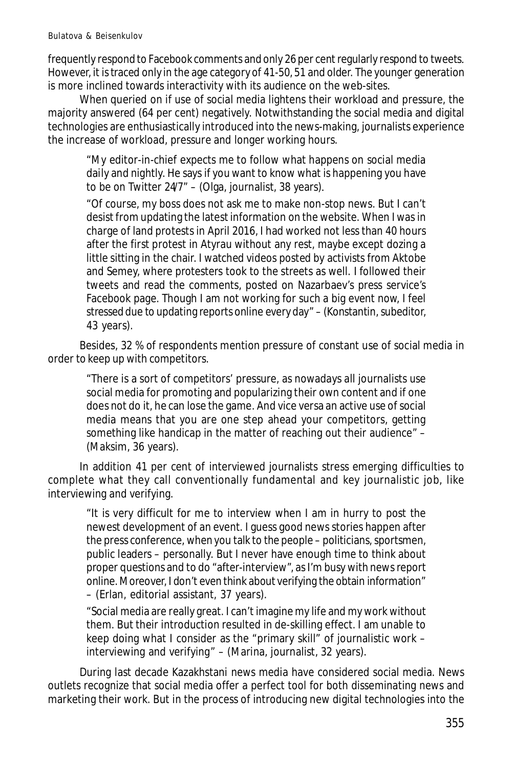frequently respond to Facebook comments and only 26 per cent regularly respond to tweets. However, it is traced only in the age category of 41-50, 51 and older. The younger generation is more inclined towards interactivity with its audience on the web-sites.

When queried on if use of social media lightens their workload and pressure, the majority answered (64 per cent) negatively. Notwithstanding the social media and digital technologies are enthusiastically introduced into the news-making, journalists experience the increase of workload, pressure and longer working hours.

"My editor-in-chief expects me to follow what happens on social media daily and nightly. He says if you want to know what is happening you have to be on Twitter  $247 - (O \log a)$ , journalist, 38 years).

"Of course, my boss does not ask me to make non-stop news. But I can't desist from updating the latest information on the website. When I was in charge of land protests in April 2016, I had worked not less than 40 hours after the first protest in Atyrau without any rest, maybe except dozing a little sitting in the chair. I watched videos posted by activists from Aktobe and Semey, where protesters took to the streets as well. I followed their tweets and read the comments, posted on Nazarbaev's press service's Facebook page. Though I am not working for such a big event now, I feel stressed due to updating reports online every day" – (Konstantin, subeditor, 43 years).

Besides, 32 % of respondents mention pressure of constant use of social media in order to keep up with competitors.

"There is a sort of competitors' pressure, as nowadays all journalists use social media for promoting and popularizing their own content and if one does not do it, he can lose the game. And vice versa an active use of social media means that you are one step ahead your competitors, getting something like handicap in the matter of reaching out their audience" – (Maksim, 36 years).

In addition 41 per cent of interviewed journalists stress emerging difficulties to complete what they call conventionally fundamental and key journalistic job, like interviewing and verifying.

"It is very difficult for me to interview when I am in hurry to post the newest development of an event. I guess good news stories happen after the press conference, when you talk to the people – politicians, sportsmen, public leaders – personally. But I never have enough time to think about proper questions and to do "after-interview", as I'm busy with news report online. Moreover, I don't even think about verifying the obtain information" – (Erlan, editorial assistant, 37 years).

"Social media are really great. I can't imagine my life and my work without them. But their introduction resulted in de-skilling effect. I am unable to keep doing what I consider as the "primary skill" of journalistic work – interviewing and verifying" – (Marina, journalist, 32 years).

During last decade Kazakhstani news media have considered social media. News outlets recognize that social media offer a perfect tool for both disseminating news and marketing their work. But in the process of introducing new digital technologies into the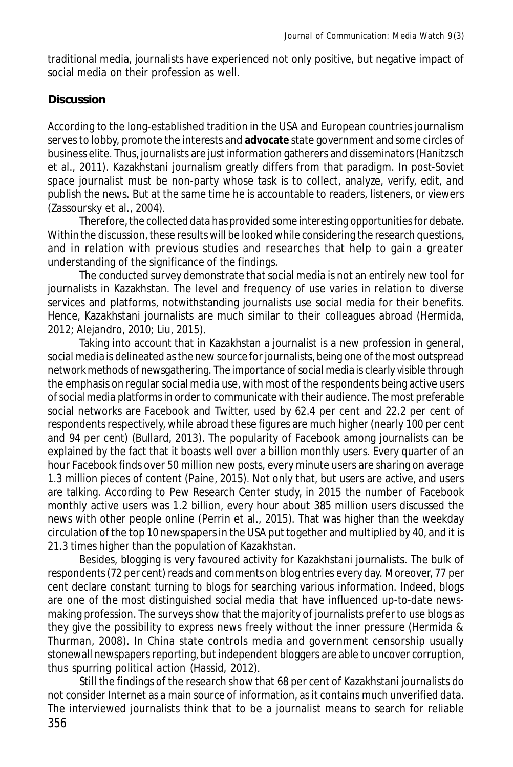traditional media, journalists have experienced not only positive, but negative impact of social media on their profession as well.

### **Discussion**

According to the long-established tradition in the USA and European countries journalism serves to lobby, promote the interests and **advocate** state government and some circles of business elite. Thus, journalists are just information gatherers and disseminators (Hanitzsch et al., 2011). Kazakhstani journalism greatly differs from that paradigm. In post-Soviet space journalist must be non-party whose task is to collect, analyze, verify, edit, and publish the news. But at the same time he is accountable to readers, listeners, or viewers (Zassoursky et al., 2004).

Therefore, the collected data has provided some interesting opportunities for debate. Within the discussion, these results will be looked while considering the research questions, and in relation with previous studies and researches that help to gain a greater understanding of the significance of the findings.

The conducted survey demonstrate that social media is not an entirely new tool for journalists in Kazakhstan. The level and frequency of use varies in relation to diverse services and platforms, notwithstanding journalists use social media for their benefits. Hence, Kazakhstani journalists are much similar to their colleagues abroad (Hermida, 2012; Alejandro, 2010; Liu, 2015).

Taking into account that in Kazakhstan a journalist is a new profession in general, social media is delineated as the new source for journalists, being one of the most outspread network methods of newsgathering. The importance of social media is clearly visible through the emphasis on regular social media use, with most of the respondents being active users of social media platforms in order to communicate with their audience. The most preferable social networks are Facebook and Twitter, used by 62.4 per cent and 22.2 per cent of respondents respectively, while abroad these figures are much higher (nearly 100 per cent and 94 per cent) (Bullard, 2013). The popularity of Facebook among journalists can be explained by the fact that it boasts well over a billion monthly users. Every quarter of an hour Facebook finds over 50 million new posts, every minute users are sharing on average 1.3 million pieces of content (Paine, 2015). Not only that, but users are active, and users are talking. According to Pew Research Center study, in 2015 the number of Facebook monthly active users was 1.2 billion, every hour about 385 million users discussed the news with other people online (Perrin et al., 2015). That was higher than the weekday circulation of the top 10 newspapers in the USA put together and multiplied by 40, and it is 21.3 times higher than the population of Kazakhstan.

Besides, blogging is very favoured activity for Kazakhstani journalists. The bulk of respondents (72 per cent) reads and comments on blog entries every day. Moreover, 77 per cent declare constant turning to blogs for searching various information. Indeed, blogs are one of the most distinguished social media that have influenced up-to-date newsmaking profession. The surveys show that the majority of journalists prefer to use blogs as they give the possibility to express news freely without the inner pressure (Hermida & Thurman, 2008). In China state controls media and government censorship usually stonewall newspapers reporting, but independent bloggers are able to uncover corruption, thus spurring political action (Hassid, 2012).

356 Still the findings of the research show that 68 per cent of Kazakhstani journalists do not consider Internet as a main source of information, as it contains much unverified data. The interviewed journalists think that to be a journalist means to search for reliable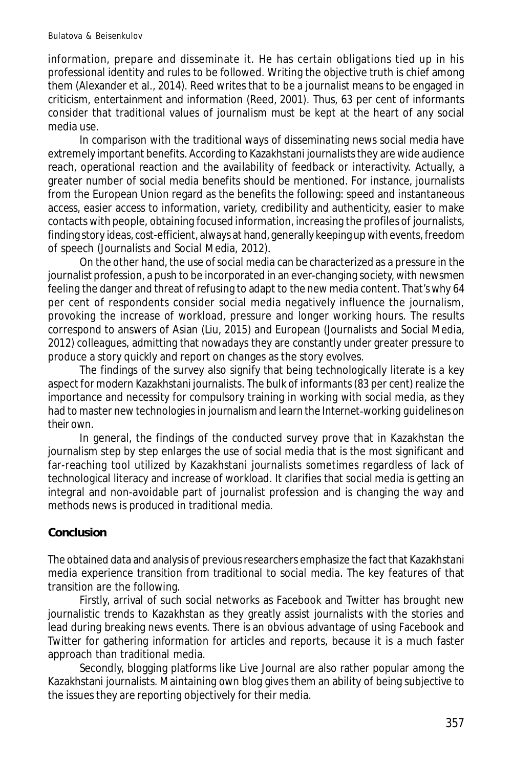information, prepare and disseminate it. He has certain obligations tied up in his professional identity and rules to be followed. Writing the objective truth is chief among them (Alexander et al., 2014). Reed writes that to be a journalist means to be engaged in criticism, entertainment and information (Reed, 2001). Thus, 63 per cent of informants consider that traditional values of journalism must be kept at the heart of any social media use.

In comparison with the traditional ways of disseminating news social media have extremely important benefits. According to Kazakhstani journalists they are wide audience reach, operational reaction and the availability of feedback or interactivity. Actually, a greater number of social media benefits should be mentioned. For instance, journalists from the European Union regard as the benefits the following: speed and instantaneous access, easier access to information, variety, credibility and authenticity, easier to make contacts with people, obtaining focused information, increasing the profiles of journalists, finding story ideas, cost-efficient, always at hand, generally keeping up with events, freedom of speech (Journalists and Social Media, 2012).

On the other hand, the use of social media can be characterized as a pressure in the journalist profession, a push to be incorporated in an ever-changing society, with newsmen feeling the danger and threat of refusing to adapt to the new media content. That's why 64 per cent of respondents consider social media negatively influence the journalism, provoking the increase of workload, pressure and longer working hours. The results correspond to answers of Asian (Liu, 2015) and European (Journalists and Social Media, 2012) colleagues, admitting that nowadays they are constantly under greater pressure to produce a story quickly and report on changes as the story evolves.

The findings of the survey also signify that being technologically literate is a key aspect for modern Kazakhstani journalists. The bulk of informants (83 per cent) realize the importance and necessity for compulsory training in working with social media, as they had to master new technologies in journalism and learn the *Internet*-*working guidelines on their own.*

In general, the findings of the conducted survey prove that in Kazakhstan the journalism step by step enlarges the use of social media that is the most significant and far-reaching tool utilized by Kazakhstani journalists sometimes regardless of lack of technological literacy and increase of workload. It clarifies that social media is getting an integral and non-avoidable part of journalist profession and is changing the way and methods news is produced in traditional media.

# **Conclusion**

The obtained data and analysis of previous researchers emphasize the fact that Kazakhstani media experience transition from traditional to social media. The key features of that transition are the following.

Firstly, arrival of such social networks as Facebook and Twitter has brought new journalistic trends to Kazakhstan as they greatly assist journalists with the stories and lead during breaking news events. There is an obvious advantage of using Facebook and Twitter for gathering information for articles and reports, because it is a much faster approach than traditional media.

Secondly, blogging platforms like Live Journal are also rather popular among the Kazakhstani journalists. Maintaining own blog gives them an ability of being subjective to the issues they are reporting objectively for their media.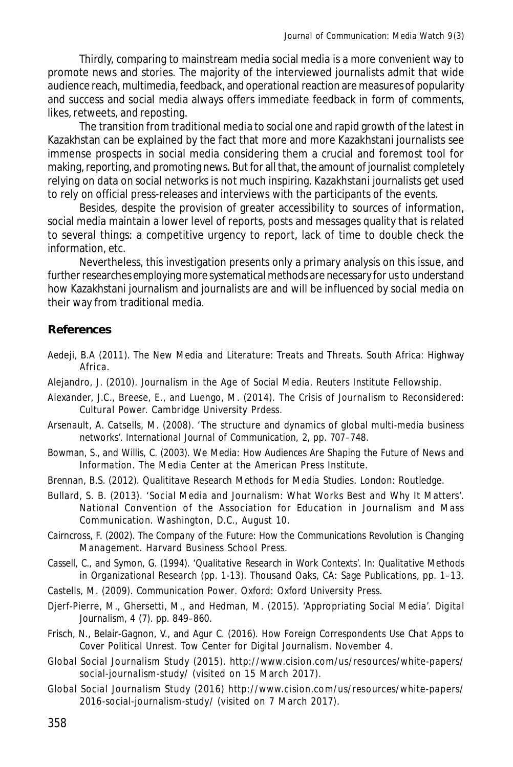Thirdly, comparing to mainstream media social media is a more convenient way to promote news and stories. The majority of the interviewed journalists admit that wide audience reach, multimedia, feedback, and operational reaction are measures of popularity and success and social media always offers immediate feedback in form of comments, likes, retweets, and reposting.

The transition from traditional media to social one and rapid growth of the latest in Kazakhstan can be explained by the fact that more and more Kazakhstani journalists see immense prospects in social media considering them a crucial and foremost tool for making, reporting, and promoting news. But for all that, the amount of journalist completely relying on data on social networks is not much inspiring. Kazakhstani journalists get used to rely on official press-releases and interviews with the participants of the events.

Besides, despite the provision of greater accessibility to sources of information, social media maintain a lower level of reports, posts and messages quality that is related to several things: a competitive urgency to report, lack of time to double check the information, etc.

Nevertheless, this investigation presents only a primary analysis on this issue, and further researches employing more systematical methods are necessary for us to understand how Kazakhstani journalism and journalists are and will be influenced by social media on their way from traditional media.

## **References**

- Aedeji, B.A (2011). *The New Media and Literature: Treats and Threats.* South Africa: Highway Africa.
- Alejandro, J. (2010). *Journalism in the Age of Social Media*. Reuters Institute Fellowship.
- Alexander, J.C., Breese, E., and Luengo, M. (2014). *The Crisis of Journalism to Reconsidered: Cultural Power.* Cambridge University Prdess.
- Arsenault, A. Catsells, M. (2008). 'The structure and dynamics of global multi-media business networks'. *International Journal of Communication,* 2, pp. 707–748.
- Bowman, S., and Willis, C. (2003). *We Media: How Audiences Are Shaping the Future of News and Information*. The Media Center at the American Press Institute.
- Brennan, B.S. (2012). *Qualititave Research Methods for Media Studies*. London: Routledge.
- Bullard, S. B. (2013). 'Social Media and Journalism: What Works Best and Why It Matters'. National Convention of the Association for Education in Journalism and Mass Communication. Washington, D.C., August 10.
- Cairncross, F. (2002). *The Company of the Future: How the Communications Revolution is Changing Management*. Harvard Business School Press.
- Cassell, C., and Symon, G. (1994). *'Qualitative Research in Work Contexts'. In: Qualitative Methods in Organizational Research* (pp. 1-13). Thousand Oaks, CA: Sage Publications, pp. 1–13.
- Castells, M. (2009). *Communication Power*. Oxford: Oxford University Press.
- Djerf-Pierre, M., Ghersetti, M., and Hedman, M. (2015). 'Appropriating Social Media'. *Digital Journalism,* 4 (7). pp. 849–860.
- Frisch, N., Belair-Gagnon, V., and Agur C. (2016). *How Foreign Correspondents Use Chat Apps to Cover Political Unrest*. Tow Center for Digital Journalism. November 4.
- Global Social Journalism Study (2015). http://www.cision.com/us/resources/white-papers/ social-journalism-study/ (visited on 15 March 2017).
- Global Social Journalism Study (2016) http://www.cision.com/us/resources/white-papers/ 2016-social-journalism-study/ (visited on 7 March 2017).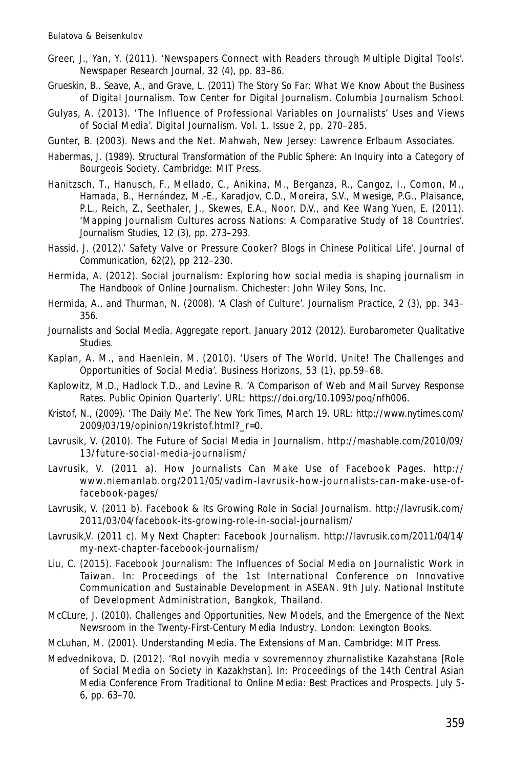- Greer, J., Yan, Y. (2011). 'Newspapers Connect with Readers through Multiple Digital Tools'. *Newspaper Research Journal,* 32 (4), pp. 83–86.
- Grueskin, B., Seave, A., and Grave, L. (2011) *The Story So Far: What We Know About the Business of Digital Journalism*. Tow Center for Digital Journalism. Columbia Journalism School.
- Gulyas, A. (2013). 'The Influence of Professional Variables on Journalists' Uses and Views of Social Media'. *Digital Journalism*. Vol. 1. Issue 2, pp. 270–285.
- Gunter, B. (2003). *News and the Net*. Mahwah, New Jersey: Lawrence Erlbaum Associates.
- Habermas, J. (1989). *Structural Transformation of the Public Sphere: An Inquiry into a Category of Bourgeois Society*. Cambridge: MIT Press.
- Hanitzsch, T., Hanusch, F., Mellado, C., Anikina, M., Berganza, R., Cangoz, I., Comon, M., Hamada, B., Hernández, M.-E., Karadjov, C.D., Moreira, S.V., Mwesige, P.G., Plaisance, P.L., Reich, Z., Seethaler, J., Skewes, E.A., Noor, D.V., and Kee Wang Yuen, E. (2011). 'Mapping Journalism Cultures across Nations: A Comparative Study of 18 Countries'. *Journalism Studies,* 12 (3), pp. 273–293.
- Hassid, J. (2012).' Safety Valve or Pressure Cooker? Blogs in Chinese Political Life'. *Journal of Communication,* 62(2), pp 212–230.
- Hermida, A. (2012). Social journalism: Exploring how social media is shaping journalism in *The Handbook of Online Journalism*. Chichester: John Wiley Sons, Inc.
- Hermida, A., and Thurman, N. (2008). 'A Clash of Culture'. *Journalism Practice,* 2 (3), pp. 343– 356.
- Journalists and Social Media. Aggregate report. January 2012 (2012). *Eurobarometer Qualitative Studies*.
- Kaplan, A. M., and Haenlein, M. (2010). 'Users of The World, Unite! The Challenges and Opportunities of Social Media'. *Business Horizons,* 53 (1), pp.59–68.
- Kaplowitz, M.D., Hadlock T.D., and Levine R. 'A Comparison of Web and Mail Survey Response Rates. *Public Opinion Quarterly'.* URL: https://doi.org/10.1093/poq/nfh006.
- Kristof, N., (2009). 'The Daily Me'. *The New York Times*, March 19. URL: http://www.nytimes.com/ 2009/03/19/opinion/19kristof.html?\_r=0.
- Lavrusik, V. (2010). The Future of Social Media in Journalism. http://mashable.com/2010/09/ 13/future-social-media-journalism/
- Lavrusik, V. (2011 a). How Journalists Can Make Use of Facebook Pages. http:// www.niem anlab.org/2011/05/vadim-lavrusik-how-journalists-can-make-use-offacebook-pages/
- Lavrusik, V. (2011 b). Facebook & Its Growing Role in Social Journalism. http://lavrusik.com/ 2011/03/04/facebook-its-growing-role-in-social-journalism/
- Lavrusik,V. (2011 c). My Next Chapter: Facebook Journalism. http://lavrusik.com/2011/04/14/ my-next-chapter-facebook-journalism/
- Liu, C. (2015). Facebook Journalism: The Influences of Social Media on Journalistic Work in Taiwan. In: Proceedings of the 1st International Conference on Innovative Communication and Sustainable Development in ASEAN. 9th July. National Institute of Development Administration, Bangkok, Thailand.
- McCLure, J. (2010). *Challenges and Opportunities, New Models, and the Emergence of the Next Newsroom in the Twenty-First-Century Media Industry*. London: Lexington Books.
- McLuhan, M. (2001). *Understanding Media. The Extensions of Man*. Cambridge: MIT Press.
- Medvednikova, D. (2012). 'Rol novyih media v sovremennoy zhurnalistike Kazahstana [Role of Social Media on Society in Kazakhstan]. In: Proceedings of the 14th Central Asian Media Conference *From Traditional to Online Media: Best Practices and Prospects*. July 5- 6, pp. 63–70.